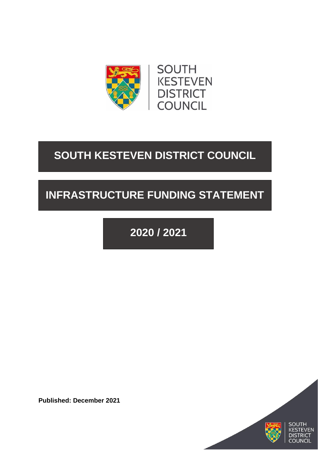

# **SOUTH KESTEVEN DISTRICT COUNCIL**

# **INFRASTRUCTURE FUNDING STATEMENT**

**2020 / 2021**

**Published: December 2021**



VEN

**DISTRICT COUNCIL**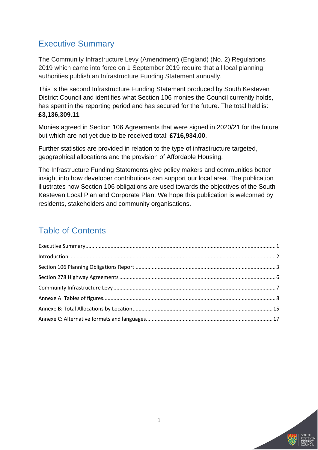# <span id="page-1-0"></span>Executive Summary

The Community Infrastructure Levy (Amendment) (England) (No. 2) Regulations 2019 which came into force on 1 September 2019 require that all local planning authorities publish an Infrastructure Funding Statement annually.

This is the second Infrastructure Funding Statement produced by South Kesteven District Council and identifies what Section 106 monies the Council currently holds, has spent in the reporting period and has secured for the future. The total held is: **£3,136,309.11**

Monies agreed in Section 106 Agreements that were signed in 2020/21 for the future but which are not yet due to be received total: **£716,934.00**.

Further statistics are provided in relation to the type of infrastructure targeted, geographical allocations and the provision of Affordable Housing.

The Infrastructure Funding Statements give policy makers and communities better insight into how developer contributions can support our local area. The publication illustrates how Section 106 obligations are used towards the objectives of the South Kesteven Local Plan and Corporate Plan. We hope this publication is welcomed by residents, stakeholders and community organisations.

# Table of Contents

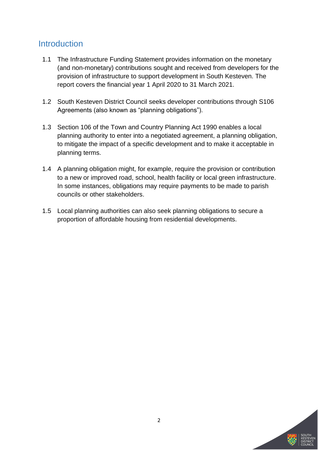### <span id="page-2-0"></span>**Introduction**

- 1.1 The Infrastructure Funding Statement provides information on the monetary (and non-monetary) contributions sought and received from developers for the provision of infrastructure to support development in South Kesteven. The report covers the financial year 1 April 2020 to 31 March 2021.
- 1.2 South Kesteven District Council seeks developer contributions through S106 Agreements (also known as "planning obligations").
- 1.3 Section 106 of the Town and Country Planning Act 1990 enables a local planning authority to enter into a negotiated agreement, a planning obligation, to mitigate the impact of a specific development and to make it acceptable in planning terms.
- 1.4 A planning obligation might, for example, require the provision or contribution to a new or improved road, school, health facility or local green infrastructure. In some instances, obligations may require payments to be made to parish councils or other stakeholders.
- 1.5 Local planning authorities can also seek planning obligations to secure a proportion of affordable housing from residential developments.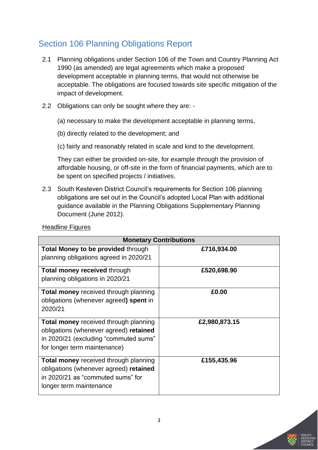# <span id="page-3-0"></span>Section 106 Planning Obligations Report

- 2.1 Planning obligations under Section 106 of the Town and Country Planning Act 1990 (as amended) are legal agreements which make a proposed development acceptable in planning terms, that would not otherwise be acceptable. The obligations are focused towards site specific mitigation of the impact of development.
- 2.2 Obligations can only be sought where they are:
	- (a) necessary to make the development acceptable in planning terms,
	- (b) directly related to the development; and
	- (c) fairly and reasonably related in scale and kind to the development.

They can either be provided on-site, for example through the provision of affordable housing, or off-site in the form of financial payments, which are to be spent on specified projects / initiatives.

2.3 South Kesteven District Council's requirements for Section 106 planning obligations are set out in the Council's adopted Local Plan with additional guidance available in the Planning Obligations Supplementary Planning Document (June 2012).

| <b>Monetary Contributions</b>                |               |  |
|----------------------------------------------|---------------|--|
| <b>Total Money to be provided through</b>    | £716,934.00   |  |
| planning obligations agreed in 2020/21       |               |  |
| <b>Total money received through</b>          | £520,698.90   |  |
| planning obligations in 2020/21              |               |  |
| <b>Total money</b> received through planning | £0.00         |  |
| obligations (whenever agreed) spent in       |               |  |
| 2020/21                                      |               |  |
| <b>Total money</b> received through planning | £2,980,873.15 |  |
| obligations (whenever agreed) retained       |               |  |
| in 2020/21 (excluding "commuted sums"        |               |  |
| for longer term maintenance)                 |               |  |
| <b>Total money received through planning</b> | £155,435.96   |  |
| obligations (whenever agreed) retained       |               |  |
| in 2020/21 as "commuted sums" for            |               |  |
| longer term maintenance                      |               |  |
|                                              |               |  |

Headline Figures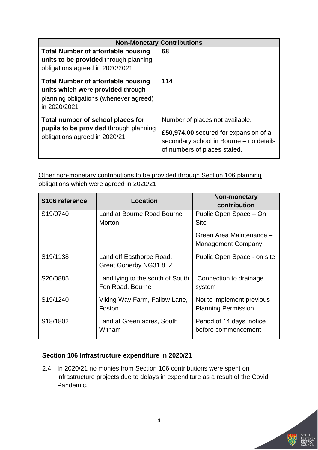|                                                                                                                                          | <b>Non-Monetary Contributions</b>                                                                                                                   |
|------------------------------------------------------------------------------------------------------------------------------------------|-----------------------------------------------------------------------------------------------------------------------------------------------------|
| <b>Total Number of affordable housing</b><br>units to be provided through planning<br>obligations agreed in 2020/2021                    | 68                                                                                                                                                  |
| <b>Total Number of affordable housing</b><br>units which were provided through<br>planning obligations (whenever agreed)<br>in 2020/2021 | 114                                                                                                                                                 |
| Total number of school places for<br><b>pupils to be provided through planning</b><br>obligations agreed in 2020/21                      | Number of places not available.<br>£50,974.00 secured for expansion of a<br>secondary school in Bourne – no details<br>of numbers of places stated. |

Other non-monetary contributions to be provided through Section 106 planning obligations which were agreed in 2020/21

| S106 reference        | <b>Location</b>                                           | Non-monetary<br>contribution                            |
|-----------------------|-----------------------------------------------------------|---------------------------------------------------------|
| S19/0740              | Land at Bourne Road Bourne<br><b>Morton</b>               | Public Open Space - On<br><b>Site</b>                   |
|                       |                                                           | Green Area Maintenance -<br><b>Management Company</b>   |
| S19/1138              | Land off Easthorpe Road,<br><b>Great Gonerby NG31 8LZ</b> | Public Open Space - on site                             |
| S20/0885              | Land lying to the south of South<br>Fen Road, Bourne      | Connection to drainage<br>system                        |
| S <sub>19</sub> /1240 | Viking Way Farm, Fallow Lane,<br>Foston                   | Not to implement previous<br><b>Planning Permission</b> |
| S18/1802              | Land at Green acres, South<br>Witham                      | Period of 14 days' notice<br>before commencement        |

### **Section 106 Infrastructure expenditure in 2020/21**

2.4 In 2020/21 no monies from Section 106 contributions were spent on infrastructure projects due to delays in expenditure as a result of the Covid Pandemic.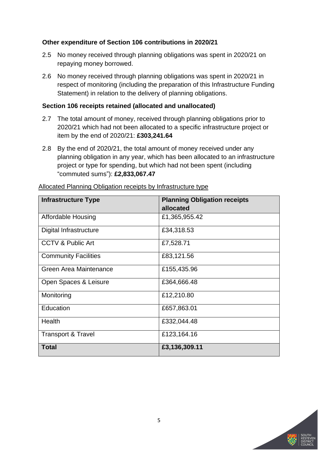#### **Other expenditure of Section 106 contributions in 2020/21**

- 2.5 No money received through planning obligations was spent in 2020/21 on repaying money borrowed.
- 2.6 No money received through planning obligations was spent in 2020/21 in respect of monitoring (including the preparation of this Infrastructure Funding Statement) in relation to the delivery of planning obligations.

#### **Section 106 receipts retained (allocated and unallocated)**

- 2.7 The total amount of money, received through planning obligations prior to 2020/21 which had not been allocated to a specific infrastructure project or item by the end of 2020/21: **£303,241.64**
- 2.8 By the end of 2020/21, the total amount of money received under any planning obligation in any year, which has been allocated to an infrastructure project or type for spending, but which had not been spent (including "commuted sums"): **£2,833,067.47**

| <b>Infrastructure Type</b>    | <b>Planning Obligation receipts</b> |
|-------------------------------|-------------------------------------|
|                               | allocated                           |
| Affordable Housing            | £1,365,955.42                       |
| Digital Infrastructure        | £34,318.53                          |
| CCTV & Public Art             | £7,528.71                           |
| <b>Community Facilities</b>   | £83,121.56                          |
| Green Area Maintenance        | £155,435.96                         |
| Open Spaces & Leisure         | £364,666.48                         |
| Monitoring                    | £12,210.80                          |
| Education                     | £657,863.01                         |
| Health                        | £332,044.48                         |
| <b>Transport &amp; Travel</b> | £123,164.16                         |
| <b>Total</b>                  | £3,136,309.11                       |

Allocated Planning Obligation receipts by Infrastructure type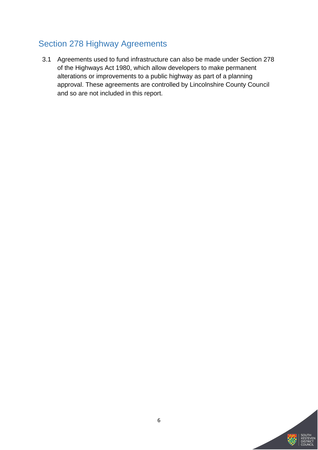# <span id="page-6-0"></span>Section 278 Highway Agreements

3.1 Agreements used to fund infrastructure can also be made under Section 278 of the Highways Act 1980, which allow developers to make permanent alterations or improvements to a public highway as part of a planning approval. These agreements are controlled by Lincolnshire County Council and so are not included in this report.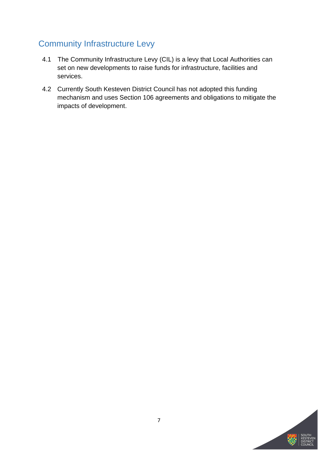# <span id="page-7-0"></span>Community Infrastructure Levy

- 4.1 The Community Infrastructure Levy (CIL) is a levy that Local Authorities can set on new developments to raise funds for infrastructure, facilities and services.
- 4.2 Currently South Kesteven District Council has not adopted this funding mechanism and uses Section 106 agreements and obligations to mitigate the impacts of development.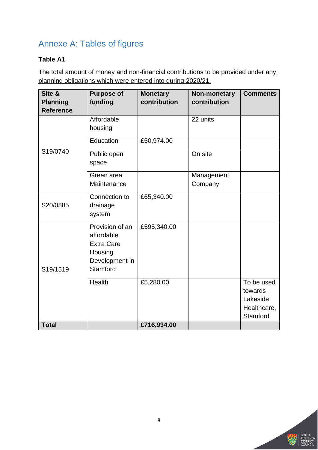# <span id="page-8-0"></span>Annexe A: Tables of figures

### **Table A1**

The total amount of money and non-financial contributions to be provided under any planning obligations which were entered into during 2020/21.

| Site &<br><b>Planning</b><br><b>Reference</b> | <b>Purpose of</b><br>funding                                                                | <b>Monetary</b><br>contribution | Non-monetary<br>contribution | <b>Comments</b>                                              |
|-----------------------------------------------|---------------------------------------------------------------------------------------------|---------------------------------|------------------------------|--------------------------------------------------------------|
|                                               | Affordable<br>housing                                                                       |                                 | 22 units                     |                                                              |
|                                               | Education                                                                                   | £50,974.00                      |                              |                                                              |
| S19/0740                                      | Public open<br>space                                                                        |                                 | On site                      |                                                              |
|                                               | Green area<br>Maintenance                                                                   |                                 | Management<br>Company        |                                                              |
| S20/0885                                      | Connection to<br>drainage<br>system                                                         | £65,340.00                      |                              |                                                              |
| S19/1519                                      | Provision of an<br>affordable<br><b>Extra Care</b><br>Housing<br>Development in<br>Stamford | £595,340.00                     |                              |                                                              |
|                                               | Health                                                                                      | £5,280.00                       |                              | To be used<br>towards<br>Lakeside<br>Healthcare,<br>Stamford |
| <b>Total</b>                                  |                                                                                             | £716,934.00                     |                              |                                                              |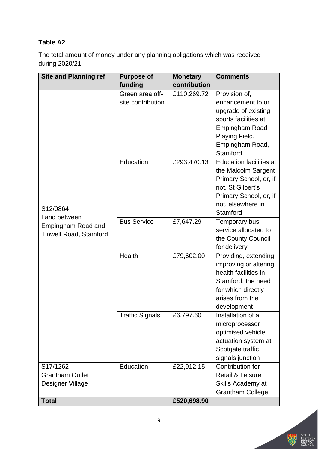The total amount of money under any planning obligations which was received during 2020/21.

| <b>Site and Planning ref</b>  | <b>Purpose of</b>      | <b>Monetary</b> | <b>Comments</b>                |
|-------------------------------|------------------------|-----------------|--------------------------------|
|                               | funding                | contribution    |                                |
|                               | Green area off-        | £110,269.72     | Provision of,                  |
|                               | site contribution      |                 | enhancement to or              |
|                               |                        |                 | upgrade of existing            |
|                               |                        |                 | sports facilities at           |
|                               |                        |                 | <b>Empingham Road</b>          |
|                               |                        |                 | Playing Field,                 |
|                               |                        |                 | Empingham Road,                |
|                               |                        |                 | Stamford                       |
|                               | Education              | £293,470.13     | <b>Education facilities at</b> |
|                               |                        |                 | the Malcolm Sargent            |
|                               |                        |                 | Primary School, or, if         |
|                               |                        |                 | not, St Gilbert's              |
|                               |                        |                 | Primary School, or, if         |
|                               |                        |                 | not, elsewhere in              |
| S12/0864                      |                        |                 | Stamford                       |
| Land between                  | <b>Bus Service</b>     | £7,647.29       | Temporary bus                  |
| Empingham Road and            |                        |                 | service allocated to           |
| <b>Tinwell Road, Stamford</b> |                        |                 | the County Council             |
|                               |                        |                 | for delivery                   |
|                               | Health                 | £79,602.00      | Providing, extending           |
|                               |                        |                 | improving or altering          |
|                               |                        |                 | health facilities in           |
|                               |                        |                 | Stamford, the need             |
|                               |                        |                 | for which directly             |
|                               |                        |                 | arises from the                |
|                               |                        |                 | development                    |
|                               | <b>Traffic Signals</b> | £6,797.60       | Installation of a              |
|                               |                        |                 | microprocessor                 |
|                               |                        |                 | optimised vehicle              |
|                               |                        |                 | actuation system at            |
|                               |                        |                 | Scotgate traffic               |
|                               |                        |                 | signals junction               |
| S17/1262                      | Education              | £22,912.15      | Contribution for               |
| <b>Grantham Outlet</b>        |                        |                 | Retail & Leisure               |
| Designer Village              |                        |                 | Skills Academy at              |
|                               |                        |                 | <b>Grantham College</b>        |
| <b>Total</b>                  |                        | £520,698.90     |                                |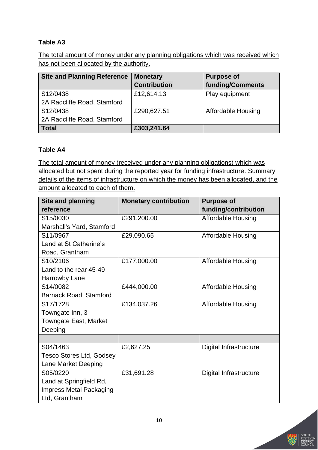The total amount of money under any planning obligations which was received which has not been allocated by the authority.

| <b>Site and Planning Reference</b> | <b>Monetary</b>     | <b>Purpose of</b>         |
|------------------------------------|---------------------|---------------------------|
|                                    | <b>Contribution</b> | funding/Comments          |
| S12/0438                           | £12,614.13          | Play equipment            |
| 2A Radcliffe Road, Stamford        |                     |                           |
| S12/0438                           | £290,627.51         | <b>Affordable Housing</b> |
| 2A Radcliffe Road, Stamford        |                     |                           |
| <b>Total</b>                       | £303,241.64         |                           |

### **Table A4**

The total amount of money (received under any planning obligations) which was allocated but not spent during the reported year for funding infrastructure. Summary details of the items of infrastructure on which the money has been allocated, and the amount allocated to each of them.

| <b>Site and planning</b>        | <b>Monetary contribution</b> | <b>Purpose of</b>         |
|---------------------------------|------------------------------|---------------------------|
| reference                       |                              | funding/contribution      |
| S15/0030                        | £291,200.00                  | Affordable Housing        |
| Marshall's Yard, Stamford       |                              |                           |
| S11/0967                        | £29,090.65                   | <b>Affordable Housing</b> |
| Land at St Catherine's          |                              |                           |
| Road, Grantham                  |                              |                           |
| S10/2106                        | £177,000.00                  | <b>Affordable Housing</b> |
| Land to the rear 45-49          |                              |                           |
| Harrowby Lane                   |                              |                           |
| S14/0082                        | £444,000.00                  | <b>Affordable Housing</b> |
| <b>Barnack Road, Stamford</b>   |                              |                           |
| S17/1728                        | £134,037.26                  | <b>Affordable Housing</b> |
| Towngate Inn, 3                 |                              |                           |
| Towngate East, Market           |                              |                           |
| Deeping                         |                              |                           |
|                                 |                              |                           |
| S04/1463                        | £2,627.25                    | Digital Infrastructure    |
| <b>Tesco Stores Ltd, Godsey</b> |                              |                           |
| Lane Market Deeping             |                              |                           |
| S05/0220                        | £31,691.28                   | Digital Infrastructure    |
| Land at Springfield Rd,         |                              |                           |
| <b>Impress Metal Packaging</b>  |                              |                           |
| Ltd, Grantham                   |                              |                           |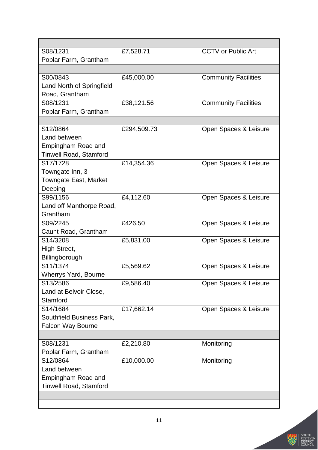| S08/1231                      | £7,528.71   | <b>CCTV or Public Art</b>   |
|-------------------------------|-------------|-----------------------------|
| Poplar Farm, Grantham         |             |                             |
|                               |             |                             |
| S00/0843                      | £45,000.00  | <b>Community Facilities</b> |
| Land North of Springfield     |             |                             |
| Road, Grantham                |             |                             |
| S08/1231                      | £38,121.56  | <b>Community Facilities</b> |
| Poplar Farm, Grantham         |             |                             |
|                               |             |                             |
| S12/0864                      | £294,509.73 | Open Spaces & Leisure       |
| Land between                  |             |                             |
| Empingham Road and            |             |                             |
| <b>Tinwell Road, Stamford</b> |             |                             |
| S17/1728                      | £14,354.36  | Open Spaces & Leisure       |
| Towngate Inn, 3               |             |                             |
| Towngate East, Market         |             |                             |
| Deeping                       |             |                             |
| S99/1156                      | £4,112.60   | Open Spaces & Leisure       |
| Land off Manthorpe Road,      |             |                             |
| Grantham                      |             |                             |
| S09/2245                      | £426.50     | Open Spaces & Leisure       |
| Caunt Road, Grantham          |             |                             |
| S14/3208                      | £5,831.00   | Open Spaces & Leisure       |
| High Street,                  |             |                             |
| Billingborough                |             |                             |
| S11/1374                      | £5,569.62   | Open Spaces & Leisure       |
| Wherrys Yard, Bourne          |             |                             |
| S13/2586                      | £9,586.40   | Open Spaces & Leisure       |
| Land at Belvoir Close,        |             |                             |
| Stamford                      |             |                             |
| S14/1684                      | £17,662.14  | Open Spaces & Leisure       |
| Southfield Business Park,     |             |                             |
| Falcon Way Bourne             |             |                             |
|                               |             |                             |
| S08/1231                      | £2,210.80   | Monitoring                  |
| Poplar Farm, Grantham         |             |                             |
| S12/0864                      | £10,000.00  | Monitoring                  |
| Land between                  |             |                             |
| Empingham Road and            |             |                             |
| <b>Tinwell Road, Stamford</b> |             |                             |
|                               |             |                             |
|                               |             |                             |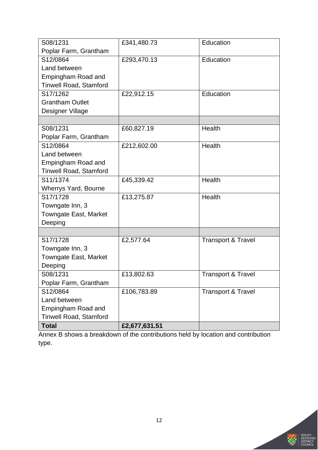| S08/1231                      | £341,480.73   | Education                     |
|-------------------------------|---------------|-------------------------------|
| Poplar Farm, Grantham         |               |                               |
| S12/0864                      | £293,470.13   | Education                     |
| Land between                  |               |                               |
| Empingham Road and            |               |                               |
| <b>Tinwell Road, Stamford</b> |               |                               |
| S17/1262                      | £22,912.15    | Education                     |
| <b>Grantham Outlet</b>        |               |                               |
| Designer Village              |               |                               |
|                               |               |                               |
| S08/1231                      | £60,827.19    | Health                        |
| Poplar Farm, Grantham         |               |                               |
| S12/0864                      | £212,602.00   | Health                        |
| Land between                  |               |                               |
| Empingham Road and            |               |                               |
| <b>Tinwell Road, Stamford</b> |               |                               |
| S11/1374                      | £45,339.42    | Health                        |
| <b>Wherrys Yard, Bourne</b>   |               |                               |
| S17/1728                      | £13,275.87    | Health                        |
| Towngate Inn, 3               |               |                               |
| Towngate East, Market         |               |                               |
| Deeping                       |               |                               |
|                               |               |                               |
| S17/1728                      | £2,577.64     | <b>Transport &amp; Travel</b> |
| Towngate Inn, 3               |               |                               |
| <b>Towngate East, Market</b>  |               |                               |
| Deeping                       |               |                               |
| S08/1231                      | £13,802.63    | <b>Transport &amp; Travel</b> |
| Poplar Farm, Grantham         |               |                               |
| S12/0864                      | £106,783.89   | <b>Transport &amp; Travel</b> |
| Land between                  |               |                               |
| Empingham Road and            |               |                               |
| <b>Tinwell Road, Stamford</b> |               |                               |
| <b>Total</b>                  | £2,677,631.51 |                               |

Annex B shows a breakdown of the contributions held by location and contribution type.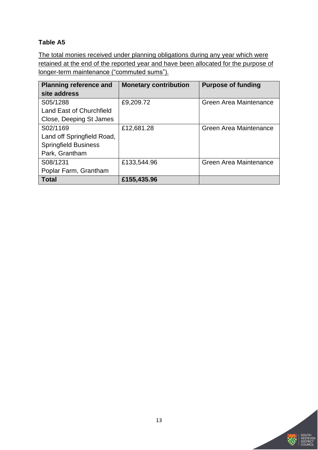The total monies received under planning obligations during any year which were retained at the end of the reported year and have been allocated for the purpose of longer-term maintenance ("commuted sums").

| <b>Planning reference and</b>   | <b>Monetary contribution</b> | <b>Purpose of funding</b> |
|---------------------------------|------------------------------|---------------------------|
| site address                    |                              |                           |
| S05/1288                        | £9,209.72                    | Green Area Maintenance    |
| <b>Land East of Churchfield</b> |                              |                           |
| Close, Deeping St James         |                              |                           |
| S02/1169                        | £12,681.28                   | Green Area Maintenance    |
| Land off Springfield Road,      |                              |                           |
| <b>Springfield Business</b>     |                              |                           |
| Park, Grantham                  |                              |                           |
| S08/1231                        | £133,544.96                  | Green Area Maintenance    |
| Poplar Farm, Grantham           |                              |                           |
| <b>Total</b>                    | £155,435.96                  |                           |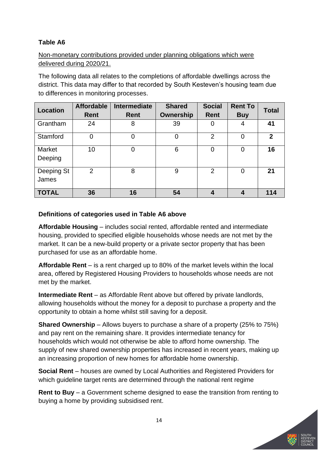### Non-monetary contributions provided under planning obligations which were delivered during 2020/21.

The following data all relates to the completions of affordable dwellings across the district. This data may differ to that recorded by South Kesteven's housing team due to differences in monitoring processes.

| <b>Location</b>          | <b>Affordable</b><br>Rent | Intermediate<br>Rent | <b>Shared</b><br><b>Ownership</b> | <b>Social</b><br><b>Rent</b> | <b>Rent To</b><br><b>Buy</b> | <b>Total</b> |
|--------------------------|---------------------------|----------------------|-----------------------------------|------------------------------|------------------------------|--------------|
| Grantham                 | 24                        | 8                    | 39                                | 0                            | 4                            | 41           |
| Stamford                 | $\overline{0}$            | 0                    | $\mathbf 0$                       | $\overline{2}$               | 0                            | $\mathbf{2}$ |
| <b>Market</b><br>Deeping | 10                        | 0                    | 6                                 | 0                            | 0                            | 16           |
| Deeping St<br>James      | 2                         | 8                    | 9                                 | $\overline{2}$               | 0                            | 21           |
| <b>TOTAL</b>             | 36                        | 16                   | 54                                |                              | 4                            | 114          |

### **Definitions of categories used in Table A6 above**

**Affordable Housing** – includes social rented, affordable rented and intermediate housing, provided to specified eligible households whose needs are not met by the market. It can be a new-build property or a private sector property that has been purchased for use as an affordable home.

**Affordable Rent** – is a rent charged up to 80% of the market levels within the local area, offered by Registered Housing Providers to households whose needs are not met by the market.

**Intermediate Rent** – as Affordable Rent above but offered by private landlords, allowing households without the money for a deposit to purchase a property and the opportunity to obtain a home whilst still saving for a deposit.

**Shared Ownership** – Allows buyers to purchase a share of a property (25% to 75%) and pay rent on the remaining share. It provides intermediate tenancy for households which would not otherwise be able to afford home ownership. The supply of new shared ownership properties has increased in recent years, making up an increasing proportion of new homes for affordable home ownership.

**Social Rent** – houses are owned by Local Authorities and Registered Providers for which guideline target rents are determined through the national rent regime

**Rent to Buy** – a Government scheme designed to ease the transition from renting to buying a home by providing subsidised rent.

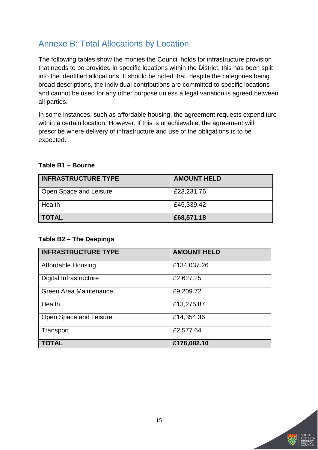## <span id="page-15-0"></span>Annexe B: Total Allocations by Location

The following tables show the monies the Council holds for infrastructure provision that needs to be provided in specific locations within the District, this has been split into the identified allocations. It should be noted that, despite the categories being broad descriptions, the individual contributions are committed to specific locations and cannot be used for any other purpose unless a legal variation is agreed between all parties.

In some instances, such as affordable housing, the agreement requests expenditure within a certain location. However, if this is unachievable, the agreement will prescribe where delivery of infrastructure and use of the obligations is to be expected.

#### **Table B1 – Bourne**

| <b>INFRASTRUCTURE TYPE</b> | <b>AMOUNT HELD</b> |
|----------------------------|--------------------|
| Open Space and Leisure     | £23,231.76         |
| Health                     | £45,339.42         |
| <b>TOTAL</b>               | £68,571.18         |

#### **Table B2 – The Deepings**

| <b>INFRASTRUCTURE TYPE</b> | <b>AMOUNT HELD</b> |
|----------------------------|--------------------|
| <b>Affordable Housing</b>  | £134,037.26        |
| Digital Infrastructure     | £2,627.25          |
| Green Area Maintenance     | £9,209.72          |
| Health                     | £13,275.87         |
| Open Space and Leisure     | £14,354.36         |
| Transport                  | £2,577.64          |
| <b>TOTAL</b>               | £176,082.10        |

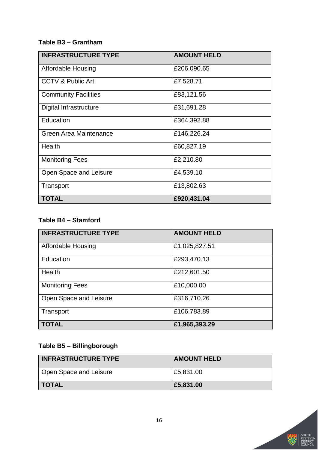### **Table B3 – Grantham**

| <b>INFRASTRUCTURE TYPE</b>    | <b>AMOUNT HELD</b> |
|-------------------------------|--------------------|
| Affordable Housing            | £206,090.65        |
| <b>CCTV &amp; Public Art</b>  | £7,528.71          |
| <b>Community Facilities</b>   | £83,121.56         |
| Digital Infrastructure        | £31,691.28         |
| Education                     | £364,392.88        |
| <b>Green Area Maintenance</b> | £146,226.24        |
| Health                        | £60,827.19         |
| <b>Monitoring Fees</b>        | £2,210.80          |
| Open Space and Leisure        | £4,539.10          |
| Transport                     | £13,802.63         |
| <b>TOTAL</b>                  | £920,431.04        |

### **Table B4 – Stamford**

| <b>INFRASTRUCTURE TYPE</b> | <b>AMOUNT HELD</b> |  |
|----------------------------|--------------------|--|
| <b>Affordable Housing</b>  | £1,025,827.51      |  |
| Education                  | £293,470.13        |  |
| Health                     | £212,601.50        |  |
| <b>Monitoring Fees</b>     | £10,000.00         |  |
| Open Space and Leisure     | £316,710.26        |  |
| Transport                  | £106,783.89        |  |
| <b>TOTAL</b>               | £1,965,393.29      |  |

### **Table B5 – Billingborough**

| <b>INFRASTRUCTURE TYPE</b> | <b>AMOUNT HELD</b> |  |
|----------------------------|--------------------|--|
| Open Space and Leisure     | £5,831.00          |  |
| <b>TOTAL</b>               | £5,831.00          |  |

STIT<br>TRICT<br>JNCIL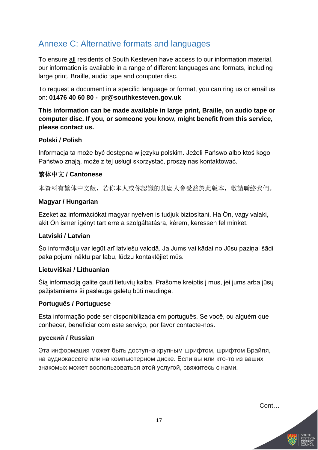## <span id="page-17-0"></span>Annexe C: Alternative formats and languages

To ensure all residents of South Kesteven have access to our information material, our information is available in a range of different languages and formats, including large print, Braille, audio tape and computer disc.

To request a document in a specific language or format, you can ring us or email us on: **01476 40 60 80 - pr@southkesteven.gov.uk** 

**This information can be made available in large print, Braille, on audio tape or computer disc. If you, or someone you know, might benefit from this service, please contact us.**

### **Polski / Polish**

Informacja ta może być dostępna w języku polskim. Jeżeli Pańswo albo ktoś kogo Państwo znają, może z tej usługi skorzystać, proszę nas kontaktować.

### 繁体中文 **/ Cantonese**

本資料有繁体中文版,若你本人或你認識的甚麼人會受益於此版本,敬請聯絡我們。

#### **Magyar / Hungarian**

Ezeket az információkat magyar nyelven is tudjuk biztosítani. Ha Ön, vagy valaki, akit Ön ismer igényt tart erre a szolgáltatásra, kérem, keressen fel minket.

### **Latviski / Latvian**

Šo informāciju var iegūt arī latviešu valodā. Ja Jums vai kādai no Jūsu paziņai šādi pakalpojumi nāktu par labu, lūdzu kontaktējiet mūs.

#### **Lietuviškai / Lithuanian**

Šią informaciją galite gauti lietuvių kalba. Prašome kreiptis į mus, jei jums arba jūsų pažįstamiems ši paslauga galėtų būti naudinga.

#### **Português / Portuguese**

Esta informação pode ser disponibilizada em português. Se você, ou alguém que conhecer, beneficiar com este serviço, por favor contacte-nos.

#### **русский / Russian**

Эта информация может быть доступна крупным шрифтом, шрифтом Брайля, на аудиокассете или на компьютерном диске. Если вы или кто-то из ваших знакомых может воспользоваться этой услугой, свяжитесь с нами.

Cont…